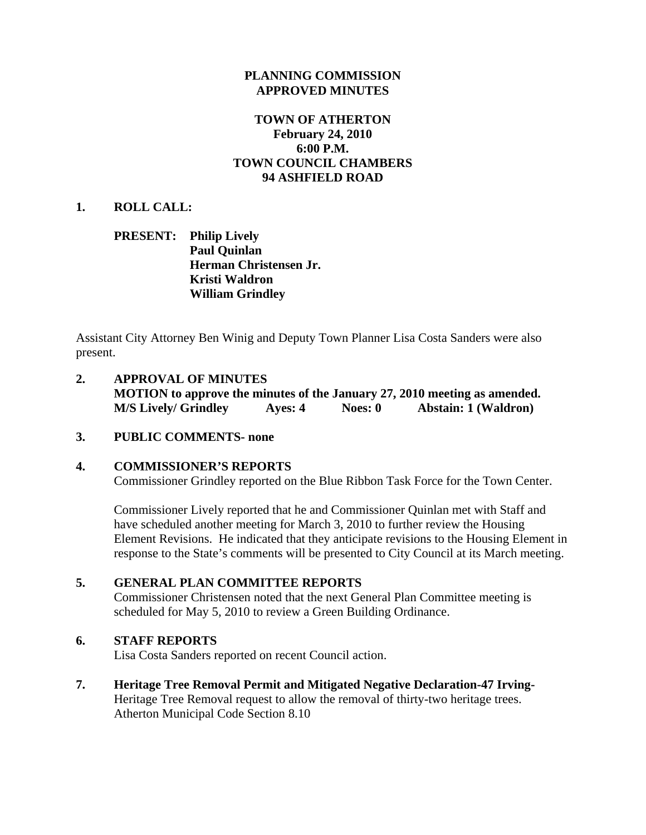### **PLANNING COMMISSION APPROVED MINUTES**

### **TOWN OF ATHERTON February 24, 2010 6:00 P.M. TOWN COUNCIL CHAMBERS 94 ASHFIELD ROAD**

### **1. ROLL CALL:**

### **PRESENT: Philip Lively Paul Quinlan Herman Christensen Jr. Kristi Waldron William Grindley**

Assistant City Attorney Ben Winig and Deputy Town Planner Lisa Costa Sanders were also present.

- **2. APPROVAL OF MINUTES MOTION to approve the minutes of the January 27, 2010 meeting as amended. M/S Lively/ Grindley Ayes: 4 Noes: 0 Abstain: 1 (Waldron)**
- **3. PUBLIC COMMENTS- none**

### **4. COMMISSIONER'S REPORTS**  Commissioner Grindley reported on the Blue Ribbon Task Force for the Town Center.

Commissioner Lively reported that he and Commissioner Quinlan met with Staff and have scheduled another meeting for March 3, 2010 to further review the Housing Element Revisions. He indicated that they anticipate revisions to the Housing Element in response to the State's comments will be presented to City Council at its March meeting.

### **5. GENERAL PLAN COMMITTEE REPORTS**

Commissioner Christensen noted that the next General Plan Committee meeting is scheduled for May 5, 2010 to review a Green Building Ordinance.

### **6. STAFF REPORTS**

Lisa Costa Sanders reported on recent Council action.

**7. Heritage Tree Removal Permit and Mitigated Negative Declaration-47 Irving-**Heritage Tree Removal request to allow the removal of thirty-two heritage trees. Atherton Municipal Code Section 8.10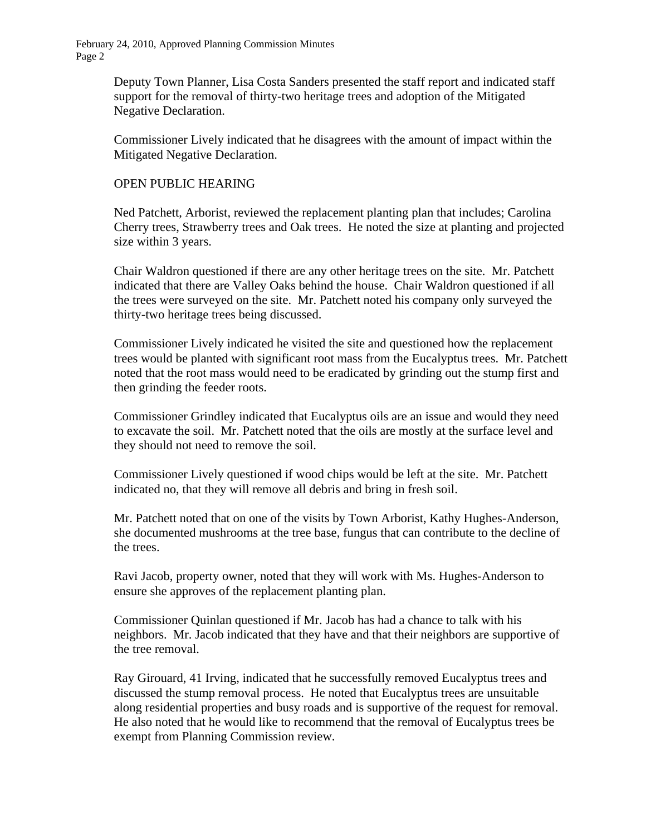February 24, 2010, Approved Planning Commission Minutes Page 2

> Deputy Town Planner, Lisa Costa Sanders presented the staff report and indicated staff support for the removal of thirty-two heritage trees and adoption of the Mitigated Negative Declaration.

> Commissioner Lively indicated that he disagrees with the amount of impact within the Mitigated Negative Declaration.

### OPEN PUBLIC HEARING

Ned Patchett, Arborist, reviewed the replacement planting plan that includes; Carolina Cherry trees, Strawberry trees and Oak trees. He noted the size at planting and projected size within 3 years.

Chair Waldron questioned if there are any other heritage trees on the site. Mr. Patchett indicated that there are Valley Oaks behind the house. Chair Waldron questioned if all the trees were surveyed on the site. Mr. Patchett noted his company only surveyed the thirty-two heritage trees being discussed.

Commissioner Lively indicated he visited the site and questioned how the replacement trees would be planted with significant root mass from the Eucalyptus trees. Mr. Patchett noted that the root mass would need to be eradicated by grinding out the stump first and then grinding the feeder roots.

Commissioner Grindley indicated that Eucalyptus oils are an issue and would they need to excavate the soil. Mr. Patchett noted that the oils are mostly at the surface level and they should not need to remove the soil.

Commissioner Lively questioned if wood chips would be left at the site. Mr. Patchett indicated no, that they will remove all debris and bring in fresh soil.

Mr. Patchett noted that on one of the visits by Town Arborist, Kathy Hughes-Anderson, she documented mushrooms at the tree base, fungus that can contribute to the decline of the trees.

Ravi Jacob, property owner, noted that they will work with Ms. Hughes-Anderson to ensure she approves of the replacement planting plan.

Commissioner Quinlan questioned if Mr. Jacob has had a chance to talk with his neighbors. Mr. Jacob indicated that they have and that their neighbors are supportive of the tree removal.

Ray Girouard, 41 Irving, indicated that he successfully removed Eucalyptus trees and discussed the stump removal process. He noted that Eucalyptus trees are unsuitable along residential properties and busy roads and is supportive of the request for removal. He also noted that he would like to recommend that the removal of Eucalyptus trees be exempt from Planning Commission review.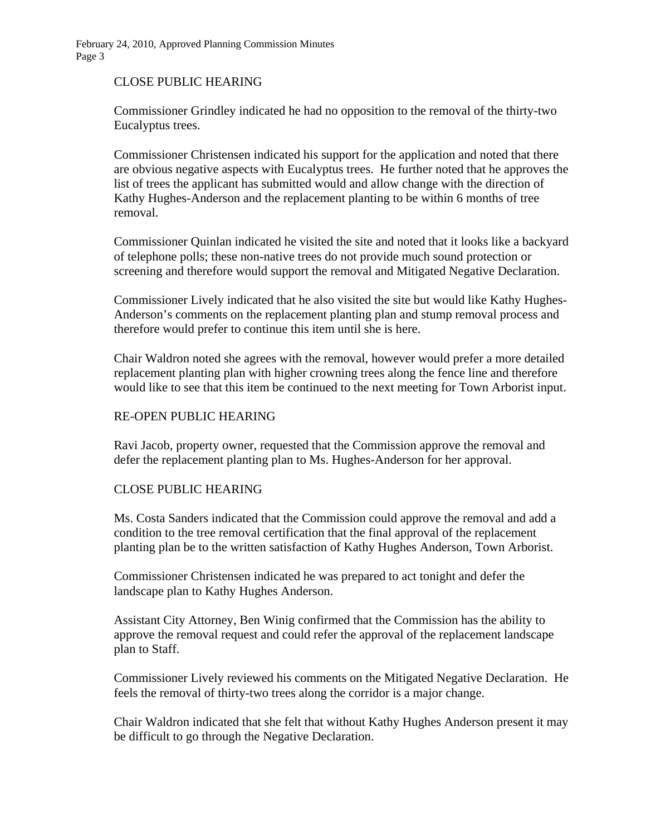### CLOSE PUBLIC HEARING

Commissioner Grindley indicated he had no opposition to the removal of the thirty-two Eucalyptus trees.

Commissioner Christensen indicated his support for the application and noted that there are obvious negative aspects with Eucalyptus trees. He further noted that he approves the list of trees the applicant has submitted would and allow change with the direction of Kathy Hughes-Anderson and the replacement planting to be within 6 months of tree removal.

Commissioner Quinlan indicated he visited the site and noted that it looks like a backyard of telephone polls; these non-native trees do not provide much sound protection or screening and therefore would support the removal and Mitigated Negative Declaration.

Commissioner Lively indicated that he also visited the site but would like Kathy Hughes-Anderson's comments on the replacement planting plan and stump removal process and therefore would prefer to continue this item until she is here.

Chair Waldron noted she agrees with the removal, however would prefer a more detailed replacement planting plan with higher crowning trees along the fence line and therefore would like to see that this item be continued to the next meeting for Town Arborist input.

### RE-OPEN PUBLIC HEARING

Ravi Jacob, property owner, requested that the Commission approve the removal and defer the replacement planting plan to Ms. Hughes-Anderson for her approval.

### CLOSE PUBLIC HEARING

Ms. Costa Sanders indicated that the Commission could approve the removal and add a condition to the tree removal certification that the final approval of the replacement planting plan be to the written satisfaction of Kathy Hughes Anderson, Town Arborist.

Commissioner Christensen indicated he was prepared to act tonight and defer the landscape plan to Kathy Hughes Anderson.

Assistant City Attorney, Ben Winig confirmed that the Commission has the ability to approve the removal request and could refer the approval of the replacement landscape plan to Staff.

Commissioner Lively reviewed his comments on the Mitigated Negative Declaration. He feels the removal of thirty-two trees along the corridor is a major change.

Chair Waldron indicated that she felt that without Kathy Hughes Anderson present it may be difficult to go through the Negative Declaration.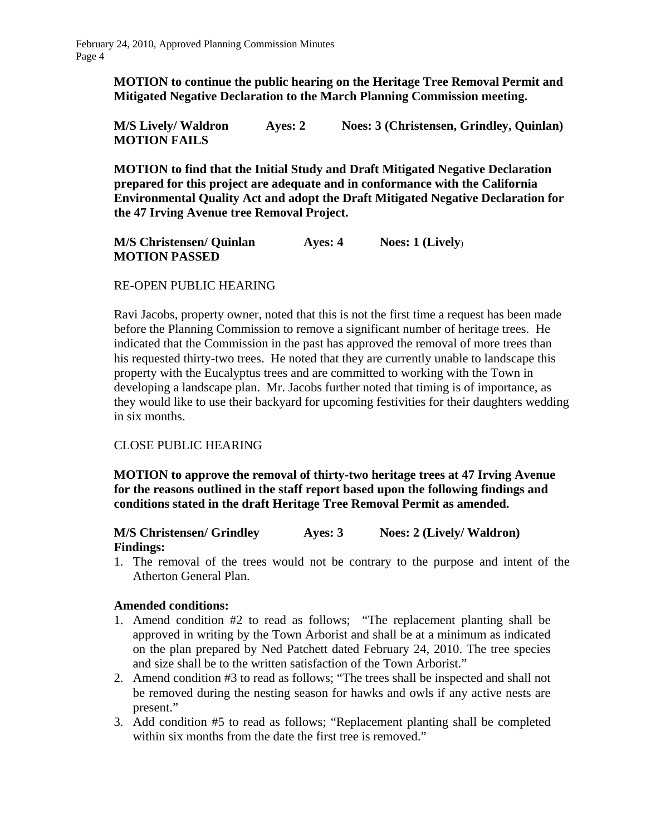**MOTION to continue the public hearing on the Heritage Tree Removal Permit and Mitigated Negative Declaration to the March Planning Commission meeting.** 

**M/S Lively/ Waldron Ayes: 2 Noes: 3 (Christensen, Grindley, Quinlan) MOTION FAILS** 

**MOTION to find that the Initial Study and Draft Mitigated Negative Declaration prepared for this project are adequate and in conformance with the California Environmental Quality Act and adopt the Draft Mitigated Negative Declaration for the 47 Irving Avenue tree Removal Project.** 

**M/S Christensen/ Quinlan Ayes: 4 Noes: 1 (Lively**) **MOTION PASSED** 

### RE-OPEN PUBLIC HEARING

Ravi Jacobs, property owner, noted that this is not the first time a request has been made before the Planning Commission to remove a significant number of heritage trees. He indicated that the Commission in the past has approved the removal of more trees than his requested thirty-two trees. He noted that they are currently unable to landscape this property with the Eucalyptus trees and are committed to working with the Town in developing a landscape plan. Mr. Jacobs further noted that timing is of importance, as they would like to use their backyard for upcoming festivities for their daughters wedding in six months.

### CLOSE PUBLIC HEARING

**MOTION to approve the removal of thirty-two heritage trees at 47 Irving Avenue for the reasons outlined in the staff report based upon the following findings and conditions stated in the draft Heritage Tree Removal Permit as amended.** 

### **M/S Christensen/ Grindley Ayes: 3 Noes: 2 (Lively/ Waldron) Findings:**

1. The removal of the trees would not be contrary to the purpose and intent of the Atherton General Plan.

### **Amended conditions:**

- 1. Amend condition #2 to read as follows; "The replacement planting shall be approved in writing by the Town Arborist and shall be at a minimum as indicated on the plan prepared by Ned Patchett dated February 24, 2010. The tree species and size shall be to the written satisfaction of the Town Arborist."
- 2. Amend condition #3 to read as follows; "The trees shall be inspected and shall not be removed during the nesting season for hawks and owls if any active nests are present."
- 3. Add condition #5 to read as follows; "Replacement planting shall be completed within six months from the date the first tree is removed."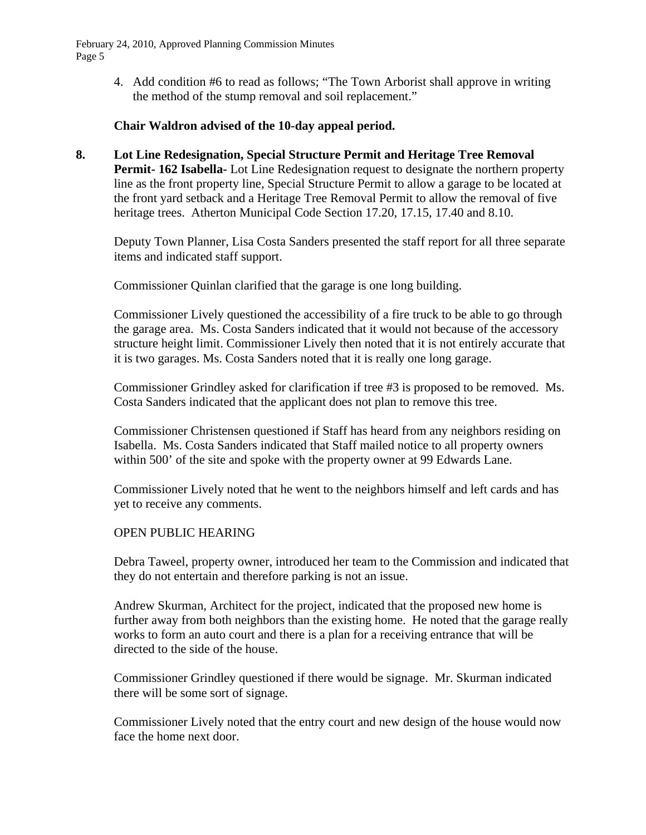February 24, 2010, Approved Planning Commission Minutes Page 5

> 4. Add condition #6 to read as follows; "The Town Arborist shall approve in writing the method of the stump removal and soil replacement."

### **Chair Waldron advised of the 10-day appeal period.**

**8. Lot Line Redesignation, Special Structure Permit and Heritage Tree Removal Permit- 162 Isabella-** Lot Line Redesignation request to designate the northern property line as the front property line, Special Structure Permit to allow a garage to be located at the front yard setback and a Heritage Tree Removal Permit to allow the removal of five heritage trees. Atherton Municipal Code Section 17.20, 17.15, 17.40 and 8.10.

 Deputy Town Planner, Lisa Costa Sanders presented the staff report for all three separate items and indicated staff support.

Commissioner Quinlan clarified that the garage is one long building.

 Commissioner Lively questioned the accessibility of a fire truck to be able to go through the garage area. Ms. Costa Sanders indicated that it would not because of the accessory structure height limit. Commissioner Lively then noted that it is not entirely accurate that it is two garages. Ms. Costa Sanders noted that it is really one long garage.

 Commissioner Grindley asked for clarification if tree #3 is proposed to be removed. Ms. Costa Sanders indicated that the applicant does not plan to remove this tree.

 Commissioner Christensen questioned if Staff has heard from any neighbors residing on Isabella. Ms. Costa Sanders indicated that Staff mailed notice to all property owners within 500' of the site and spoke with the property owner at 99 Edwards Lane.

 Commissioner Lively noted that he went to the neighbors himself and left cards and has yet to receive any comments.

### OPEN PUBLIC HEARING

 Debra Taweel, property owner, introduced her team to the Commission and indicated that they do not entertain and therefore parking is not an issue.

 Andrew Skurman, Architect for the project, indicated that the proposed new home is further away from both neighbors than the existing home. He noted that the garage really works to form an auto court and there is a plan for a receiving entrance that will be directed to the side of the house.

 Commissioner Grindley questioned if there would be signage. Mr. Skurman indicated there will be some sort of signage.

 Commissioner Lively noted that the entry court and new design of the house would now face the home next door.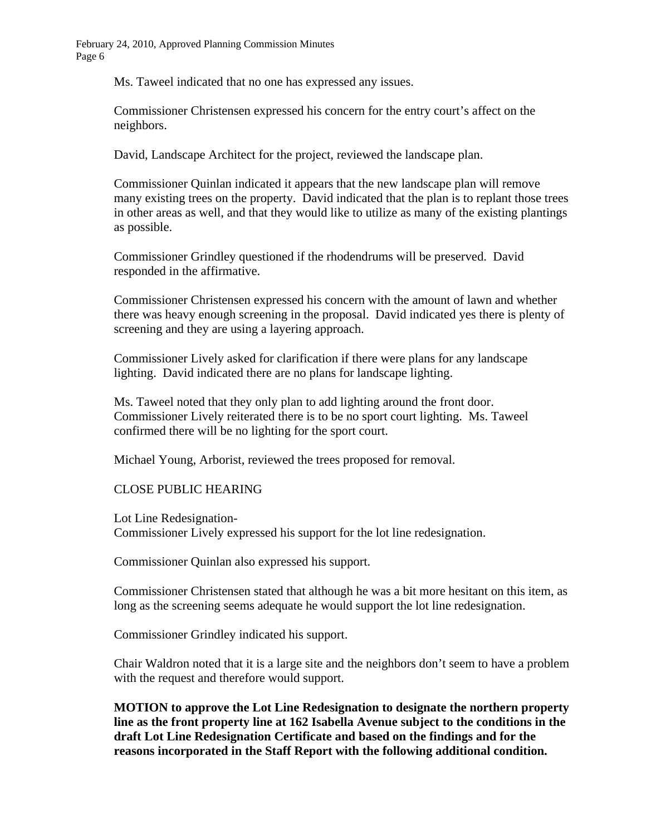Ms. Taweel indicated that no one has expressed any issues.

 Commissioner Christensen expressed his concern for the entry court's affect on the neighbors.

David, Landscape Architect for the project, reviewed the landscape plan.

 Commissioner Quinlan indicated it appears that the new landscape plan will remove many existing trees on the property. David indicated that the plan is to replant those trees in other areas as well, and that they would like to utilize as many of the existing plantings as possible.

 Commissioner Grindley questioned if the rhodendrums will be preserved. David responded in the affirmative.

 Commissioner Christensen expressed his concern with the amount of lawn and whether there was heavy enough screening in the proposal. David indicated yes there is plenty of screening and they are using a layering approach.

 Commissioner Lively asked for clarification if there were plans for any landscape lighting. David indicated there are no plans for landscape lighting.

 Ms. Taweel noted that they only plan to add lighting around the front door. Commissioner Lively reiterated there is to be no sport court lighting. Ms. Taweel confirmed there will be no lighting for the sport court.

Michael Young, Arborist, reviewed the trees proposed for removal.

### CLOSE PUBLIC HEARING

 Lot Line Redesignation- Commissioner Lively expressed his support for the lot line redesignation.

Commissioner Quinlan also expressed his support.

Commissioner Christensen stated that although he was a bit more hesitant on this item, as long as the screening seems adequate he would support the lot line redesignation.

Commissioner Grindley indicated his support.

Chair Waldron noted that it is a large site and the neighbors don't seem to have a problem with the request and therefore would support.

**MOTION to approve the Lot Line Redesignation to designate the northern property line as the front property line at 162 Isabella Avenue subject to the conditions in the draft Lot Line Redesignation Certificate and based on the findings and for the reasons incorporated in the Staff Report with the following additional condition.**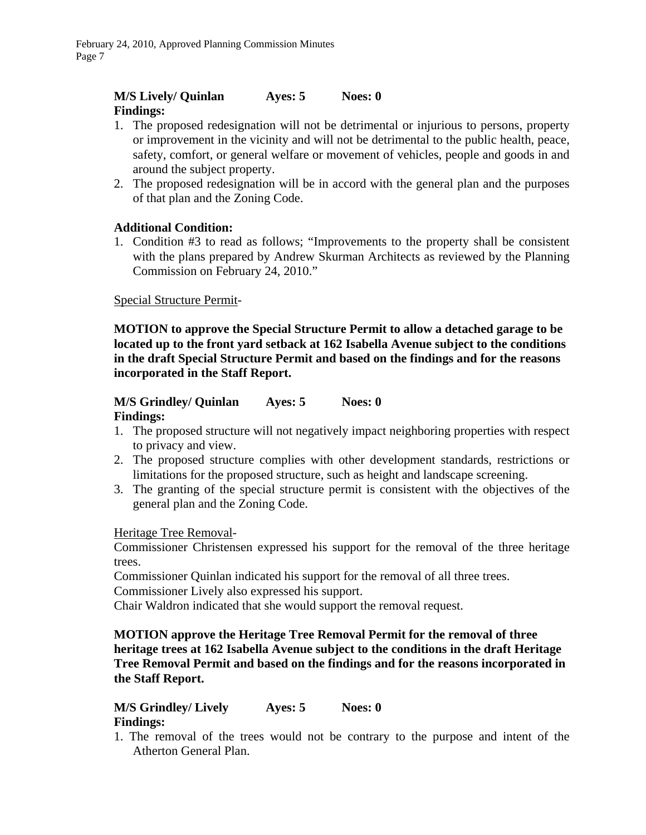## **M/S Lively/ Quinlan Ayes: 5 Noes: 0 Findings:**

- 1. The proposed redesignation will not be detrimental or injurious to persons, property or improvement in the vicinity and will not be detrimental to the public health, peace, safety, comfort, or general welfare or movement of vehicles, people and goods in and around the subject property.
- 2. The proposed redesignation will be in accord with the general plan and the purposes of that plan and the Zoning Code.

### **Additional Condition:**

1. Condition #3 to read as follows; "Improvements to the property shall be consistent with the plans prepared by Andrew Skurman Architects as reviewed by the Planning Commission on February 24, 2010."

### Special Structure Permit-

**MOTION to approve the Special Structure Permit to allow a detached garage to be located up to the front yard setback at 162 Isabella Avenue subject to the conditions in the draft Special Structure Permit and based on the findings and for the reasons incorporated in the Staff Report.** 

#### **M/S Grindley/ Quinlan Ayes: 5 Noes: 0 Findings:**

- 1. The proposed structure will not negatively impact neighboring properties with respect to privacy and view.
- 2. The proposed structure complies with other development standards, restrictions or limitations for the proposed structure, such as height and landscape screening.
- 3. The granting of the special structure permit is consistent with the objectives of the general plan and the Zoning Code.

### Heritage Tree Removal-

Commissioner Christensen expressed his support for the removal of the three heritage trees.

Commissioner Quinlan indicated his support for the removal of all three trees.

Commissioner Lively also expressed his support.

Chair Waldron indicated that she would support the removal request.

### **MOTION approve the Heritage Tree Removal Permit for the removal of three heritage trees at 162 Isabella Avenue subject to the conditions in the draft Heritage Tree Removal Permit and based on the findings and for the reasons incorporated in the Staff Report.**

### **M/S Grindley/ Lively Ayes: 5 Noes: 0 Findings:**

1. The removal of the trees would not be contrary to the purpose and intent of the Atherton General Plan.